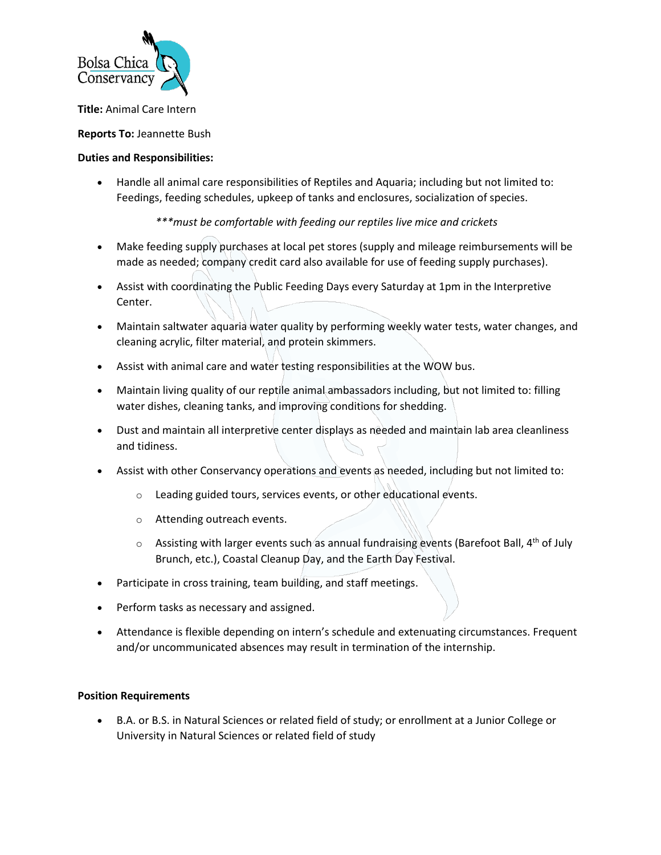

**Title:** Animal Care Intern

## **Reports To:** Jeannette Bush

## **Duties and Responsibilities:**

• Handle all animal care responsibilities of Reptiles and Aquaria; including but not limited to: Feedings, feeding schedules, upkeep of tanks and enclosures, socialization of species.

*\*\*\*must be comfortable with feeding our reptiles live mice and crickets* 

- Make feeding supply purchases at local pet stores (supply and mileage reimbursements will be made as needed; company credit card also available for use of feeding supply purchases).
- Assist with coordinating the Public Feeding Days every Saturday at 1pm in the Interpretive Center.
- Maintain saltwater aquaria water quality by performing weekly water tests, water changes, and cleaning acrylic, filter material, and protein skimmers.
- Assist with animal care and water testing responsibilities at the WOW bus.
- Maintain living quality of our reptile animal ambassadors including, but not limited to: filling water dishes, cleaning tanks, and improving conditions for shedding.
- Dust and maintain all interpretive center displays as needed and maintain lab area cleanliness and tidiness.
- Assist with other Conservancy operations and events as needed, including but not limited to:
	- o Leading guided tours, services events, or other educational events.
	- o Attending outreach events.
	- $\circ$  Assisting with larger events such as annual fundraising events (Barefoot Ball, 4<sup>th</sup> of July Brunch, etc.), Coastal Cleanup Day, and the Earth Day Festival.
- Participate in cross training, team building, and staff meetings.
- Perform tasks as necessary and assigned.
- Attendance is flexible depending on intern's schedule and extenuating circumstances. Frequent and/or uncommunicated absences may result in termination of the internship.

## **Position Requirements**

• B.A. or B.S. in Natural Sciences or related field of study; or enrollment at a Junior College or University in Natural Sciences or related field of study